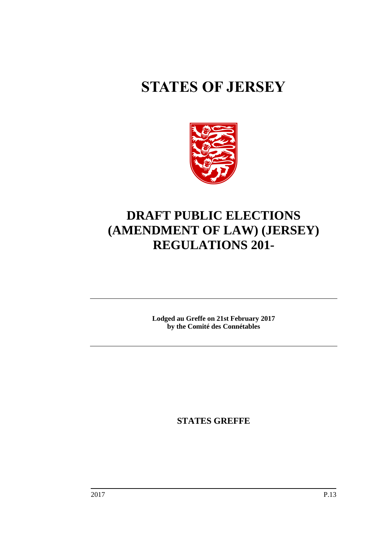# **STATES OF JERSEY**



## **DRAFT PUBLIC ELECTIONS (AMENDMENT OF LAW) (JERSEY) REGULATIONS 201-**

**Lodged au Greffe on 21st February 2017 by the Comité des Connétables**

**STATES GREFFE**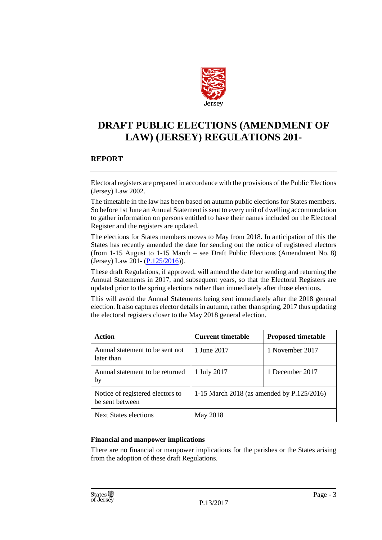

### **DRAFT PUBLIC ELECTIONS (AMENDMENT OF LAW) (JERSEY) REGULATIONS 201-**

#### **REPORT**

Electoral registers are prepared in accordance with the provisions of the Public Elections (Jersey) Law 2002.

The timetable in the law has been based on autumn public elections for States members. So before 1st June an Annual Statement is sent to every unit of dwelling accommodation to gather information on persons entitled to have their names included on the Electoral Register and the registers are updated.

The elections for States members moves to May from 2018. In anticipation of this the States has recently amended the date for sending out the notice of registered electors (from 1-15 August to 1-15 March – see Draft Public Elections (Amendment No. 8) (Jersey) Law 201- [\(P.125/2016\)](http://www.statesassembly.gov.je/AssemblyPropositions/2016/P.125-2016.pdf)).

These draft Regulations, if approved, will amend the date for sending and returning the Annual Statements in 2017, and subsequent years, so that the Electoral Registers are updated prior to the spring elections rather than immediately after those elections.

This will avoid the Annual Statements being sent immediately after the 2018 general election. It also captures elector details in autumn, rather than spring, 2017 thus updating the electoral registers closer to the May 2018 general election.

| Action                                              | <b>Current timetable</b>                   | <b>Proposed timetable</b> |
|-----------------------------------------------------|--------------------------------------------|---------------------------|
| Annual statement to be sent not<br>later than       | 1 June 2017                                | 1 November 2017           |
| Annual statement to be returned<br>by               | 1 July 2017                                | 1 December 2017           |
| Notice of registered electors to<br>be sent between | 1-15 March 2018 (as amended by P.125/2016) |                           |
| <b>Next States elections</b>                        | May 2018                                   |                           |

#### **Financial and manpower implications**

There are no financial or manpower implications for the parishes or the States arising from the adoption of these draft Regulations.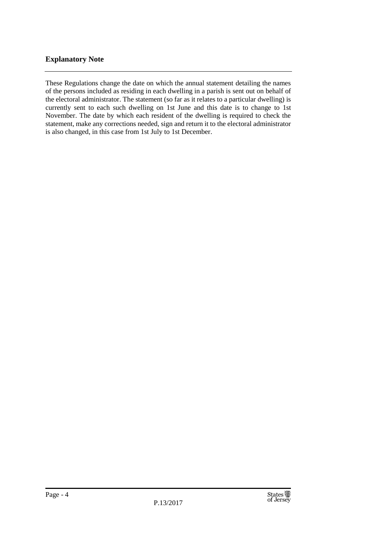#### **Explanatory Note**

These Regulations change the date on which the annual statement detailing the names of the persons included as residing in each dwelling in a parish is sent out on behalf of the electoral administrator. The statement (so far as it relates to a particular dwelling) is currently sent to each such dwelling on 1st June and this date is to change to 1st November. The date by which each resident of the dwelling is required to check the statement, make any corrections needed, sign and return it to the electoral administrator is also changed, in this case from 1st July to 1st December.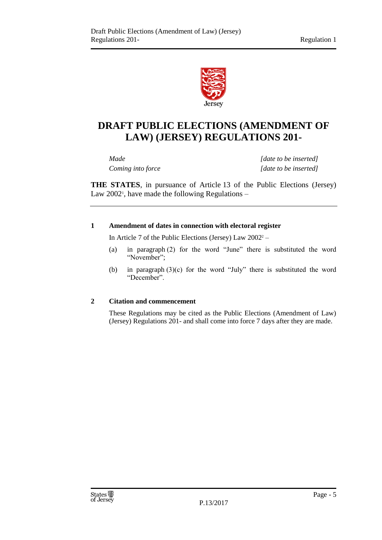

## **DRAFT PUBLIC ELECTIONS (AMENDMENT OF LAW) (JERSEY) REGULATIONS 201-**

*Made [date to be inserted] Coming into force [date to be inserted]*

**THE STATES**, in pursuance of Article 13 of the Public Elections (Jersey) Law 2002<sup>1</sup>, have made the following Regulations –

#### **1 Amendment of dates in connection with electoral register**

In Article 7 of the Public Elections (Jersey) Law 2002<sup>2</sup> –

- (a) in paragraph (2) for the word "June" there is substituted the word "November";
- (b) in paragraph (3)(c) for the word "July" there is substituted the word "December".

#### **2 Citation and commencement**

These Regulations may be cited as the Public Elections (Amendment of Law) (Jersey) Regulations 201- and shall come into force 7 days after they are made.